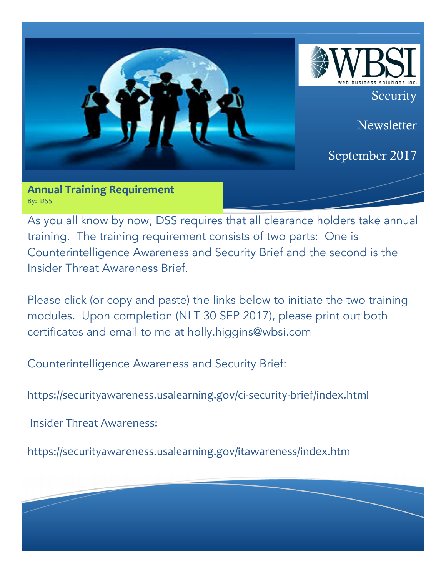

**Annual Training Requirement** By: DSS

As you all know by now, DSS requires that all clearance holders take annual training. The training requirement consists of two parts: One is Counterintelligence Awareness and Security Brief and the second is the Insider Threat Awareness Brief.

Please click (or copy and paste) the links below to initiate the two training modules. Upon completion (NLT 30 SEP 2017), please print out both certificates and email to me at holly.higgins@wbsi.com

Counterintelligence Awareness and Security Brief:

https://securityawareness.usalearning.gov/ci-security-brief/index.html

**Insider Threat Awareness:** 

https://securityawareness.usalearning.gov/itawareness/index.htm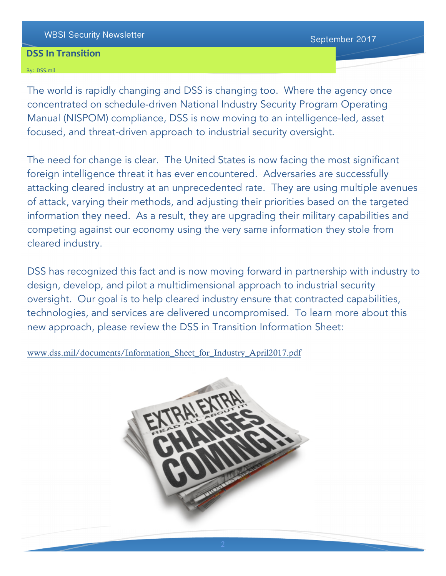# WBSI Security Newsletter Newsletter September 2017

## **DSS In Transition**

#### By: DSS.mil

The world is rapidly changing and DSS is changing too. Where the agency once concentrated on schedule-driven National Industry Security Program Operating Manual (NISPOM) compliance, DSS is now moving to an intelligence-led, asset focused, and threat-driven approach to industrial security oversight.

The need for change is clear. The United States is now facing the most significant foreign intelligence threat it has ever encountered. Adversaries are successfully attacking cleared industry at an unprecedented rate. They are using multiple avenues of attack, varying their methods, and adjusting their priorities based on the targeted information they need. As a result, they are upgrading their military capabilities and competing against our economy using the very same information they stole from cleared industry.

DSS has recognized this fact and is now moving forward in partnership with industry to design, develop, and pilot a multidimensional approach to industrial security oversight. Our goal is to help cleared industry ensure that contracted capabilities, technologies, and services are delivered uncompromised. To learn more about this new approach, please review the DSS in Transition Information Sheet:

www.dss.mil/documents/Information\_Sheet\_for\_Industry\_April2017.pdf